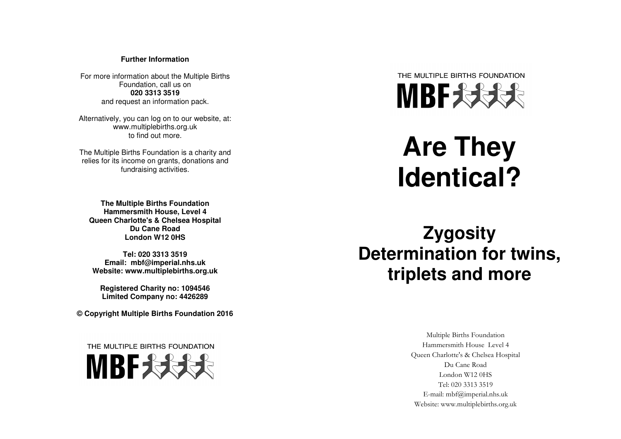#### **Further Information**

For more information about the Multiple Births Foundation, call us on **020 3313 3519** and request an information pack.

Alternatively, you can log on to our website, at: www.multiplebirths.org.uk to find out more.

The Multiple Births Foundation is a charity and relies for its income on grants, donations and fundraising activities.

**The Multiple Births Foundation Hammersmith House, Level 4 Queen Charlotte's & Chelsea Hospital Du Cane Road London W12 0HS** 

**Tel: 020 3313 3519 Email: mbf@imperial.nhs.ukWebsite: www.multiplebirths.org.uk** 

**Registered Charity no: 1094546 Limited Company no: 4426289**

**© Copyright Multiple Births Foundation 2016** 

THE MULTIPLE BIRTHS FOUNDATION





# **Are They Identical?**

**Zygosity Determination for twins, triplets and more** 

> Multiple Births Foundation Hammersmith House Level 4 Queen Charlotte's & Chelsea Hospital Du Cane Road London W12 0HS Tel: 020 3313 3519 E-mail: mbf@imperial.nhs.uk Website: www.multiplebirths.org.uk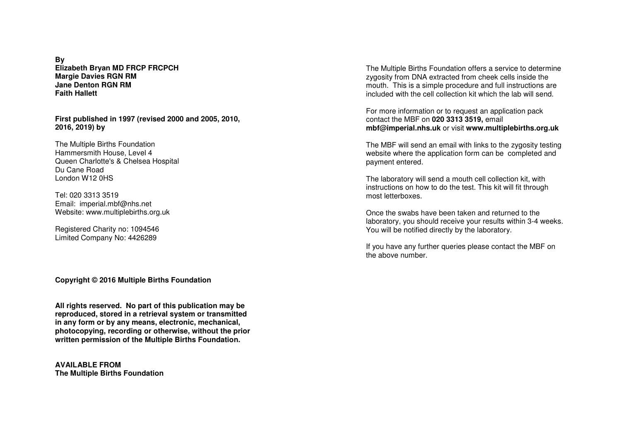**By Elizabeth Bryan MD FRCP FRCPCH Margie Davies RGN RM Jane Denton RGN RM Faith Hallett** 

**First published in 1997 (revised 2000 and 2005, 2010, 2016, 2019) by** 

The Multiple Births Foundation Hammersmith House, Level 4 Queen Charlotte's & Chelsea Hospital Du Cane Road London W12 0HS

Tel: 020 3313 3519 Email: imperial.mbf@nhs.net Website: www.multiplebirths.org.uk

Registered Charity no: 1094546 Limited Company No: 4426289

**Copyright © 2016 Multiple Births Foundation** 

**All rights reserved. No part of this publication may be reproduced, stored in a retrieval system or transmitted in any form or by any means, electronic, mechanical, photocopying, recording or otherwise, without the prior written permission of the Multiple Births Foundation.** 

**AVAILABLE FROM The Multiple Births Foundation**  The Multiple Births Foundation offers a service to determine zygosity from DNA extracted from cheek cells inside the mouth. This is a simple procedure and full instructions are included with the cell collection kit which the lab will send.

For more information or to request an application pack contact the MBF on **020 3313 3519,** email **mbf@imperial.nhs.uk** or visit **www.multiplebirths.org.uk** 

The MBF will send an email with links to the zygosity testing website where the application form can be completed and payment entered.

The laboratory will send a mouth cell collection kit, with instructions on how to do the test. This kit will fit through most letterboxes.

Once the swabs have been taken and returned to the laboratory, you should receive your results within 3-4 weeks. You will be notified directly by the laboratory.

If you have any further queries please contact the MBF on the above number.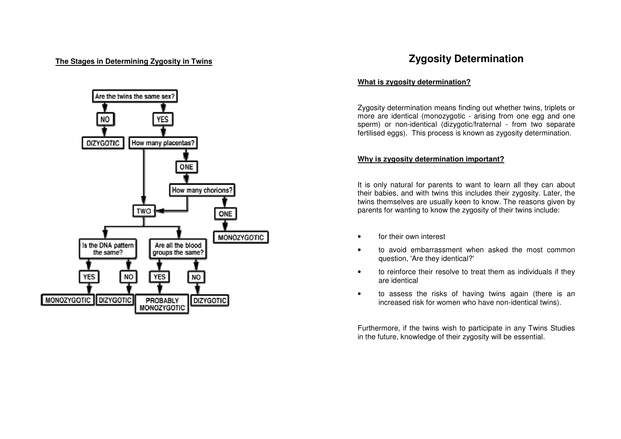

## **The Stages in Determining Zygosity in Twins <b>The Stages in Determination Zygosity Determination**

#### **What is zygosity determination?**

Zygosity determination means finding out whether twins, triplets or more are identical (monozygotic - arising from one egg and one sperm) or non-identical (dizygotic/fraternal - from two separate fertilised eggs). This process is known as zygosity determination.

#### **Why is zygosity determination important?**

It is only natural for parents to want to learn all they can about their babies, and with twins this includes their zygosity. Later, the twins themselves are usually keen to know. The reasons given by parents for wanting to know the zygosity of their twins include:

- for their own interest
- to avoid embarrassment when asked the most common question, 'Are they identical?'
- to reinforce their resolve to treat them as individuals if they are identical
- to assess the risks of having twins again (there is an increased risk for women who have non-identical twins).

Furthermore, if the twins wish to participate in any Twins Studies in the future, knowledge of their zygosity will be essential.